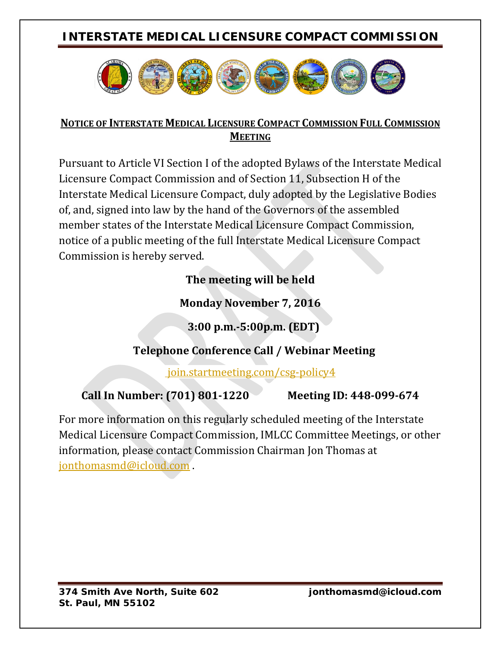# **INTERSTATE MEDICAL LICENSURE COMPACT COMMISSION**



#### **NOTICE OF INTERSTATE MEDICAL LICENSURE COMPACT COMMISSION FULL COMMISSION MEETING**

Pursuant to Article VI Section I of the adopted Bylaws of the Interstate Medical Licensure Compact Commission and of Section 11, Subsection H of the Interstate Medical Licensure Compact, duly adopted by the Legislative Bodies of, and, signed into law by the hand of the Governors of the assembled member states of the Interstate Medical Licensure Compact Commission, notice of a public meeting of the full Interstate Medical Licensure Compact Commission is hereby served.

### **The meeting will be held**

### **Monday November 7, 2016**

 **3:00 p.m.-5:00p.m. (EDT)**

# **Telephone Conference Call / Webinar Meeting**

join.startmeeting.com/csg-policy4

**Call In Number: (701) 801-1220 Meeting ID: 448-099-674**

For more information on this regularly scheduled meeting of the Interstate Medical Licensure Compact Commission, IMLCC Committee Meetings, or other information, please contact Commission Chairman Jon Thomas at [jonthomasmd@icloud.com](mailto:jonthomasmd@icloud.com) .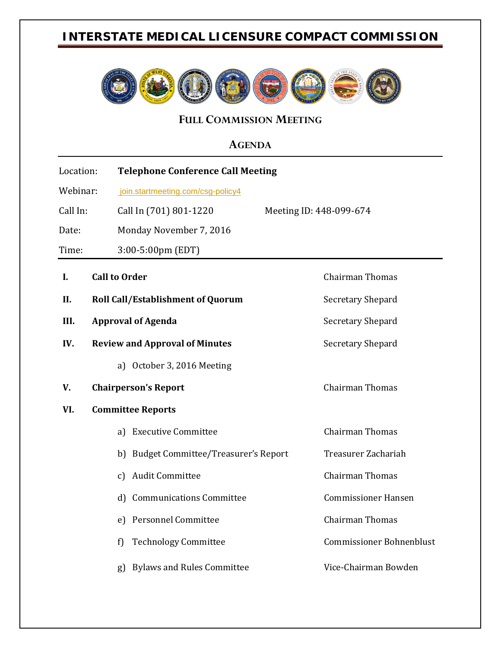# **INTERSTATE MEDICAL LICENSURE COMPACT COMMISSION**



**FULL COMMISSION MEETING** 

#### **AGENDA**

| Location: |                           |                          | <b>Telephone Conference Call Meeting</b>          |                                 |  |
|-----------|---------------------------|--------------------------|---------------------------------------------------|---------------------------------|--|
| Webinar:  |                           |                          | join.startmeeting.com/csg-policy4                 |                                 |  |
| Call In:  |                           |                          | Call In (701) 801-1220<br>Meeting ID: 448-099-674 |                                 |  |
| Date:     |                           |                          | Monday November 7, 2016                           |                                 |  |
| Time:     |                           |                          | 3:00-5:00pm (EDT)                                 |                                 |  |
| I.        | <b>Call to Order</b>      |                          |                                                   | <b>Chairman Thomas</b>          |  |
| II.       |                           |                          | <b>Roll Call/Establishment of Quorum</b>          | Secretary Shepard               |  |
| III.      | <b>Approval of Agenda</b> |                          |                                                   | Secretary Shepard               |  |
| IV.       |                           |                          | <b>Review and Approval of Minutes</b>             | Secretary Shepard               |  |
|           |                           | a)                       | October 3, 2016 Meeting                           |                                 |  |
| V.        |                           |                          | <b>Chairperson's Report</b>                       | Chairman Thomas                 |  |
| VI.       |                           | <b>Committee Reports</b> |                                                   |                                 |  |
|           |                           | a)                       | <b>Executive Committee</b>                        | <b>Chairman Thomas</b>          |  |
|           |                           |                          | b) Budget Committee/Treasurer's Report            | Treasurer Zachariah             |  |
|           |                           | $\mathfrak{c}$           | <b>Audit Committee</b>                            | <b>Chairman Thomas</b>          |  |
|           |                           | d                        | <b>Communications Committee</b>                   | <b>Commissioner Hansen</b>      |  |
|           |                           | e)                       | <b>Personnel Committee</b>                        | <b>Chairman Thomas</b>          |  |
|           |                           | f)                       | <b>Technology Committee</b>                       | <b>Commissioner Bohnenblust</b> |  |
|           |                           | g)                       | <b>Bylaws and Rules Committee</b>                 | Vice-Chairman Bowden            |  |